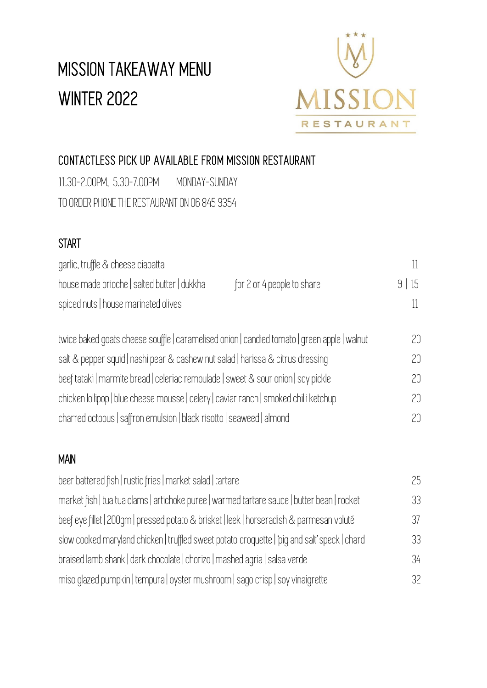# MISSION TAKEAWAY MENU WINTER 2022



## CONTACTLESS PICK UP AVAILABLE FROM MISSION RESTAURANT

11.30-2.00PM, 5.30-7.00PM MONDAY-SUNDAY TO ORDER PHONE THE RESTAURANT ON 06 845 9354

### **START**

| 9 15 |
|------|
|      |
| 20.  |
| 20.  |
|      |
|      |

chicken lollipop | blue cheese mousse | celery | caviar ranch | smoked chilli ketchup 20 charred octopus | saffron emulsion | black risotto | seaweed | almond 20

#### MAIN

| beer battered fish   rustic fries   market salad   tartare                                   | 25 |
|----------------------------------------------------------------------------------------------|----|
| market fish   tua tua clams   artichoke puree   warmed tartare sauce   butter bean   rocket  | 33 |
| beef eye fillet   200qm   pressed potato & brisket   leek   horseradish & parmesan voluté    | 37 |
| slow cooked maryland chicken   truffled sweet potato croquette   pig and salt' speck   chard | 33 |
| braised lamb shank   dark chocolate   chorizo   mashed agria   salsa verde                   | 34 |
| miso glazed pumpkin   tempura   oyster mushroom   sago crisp   soy vinaigrette               | 32 |